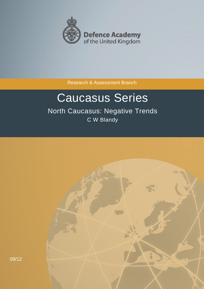

Research & Assessment Branch

# Caucasus Series

North Caucasus: Negative Trends C W Blandy

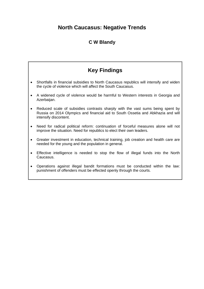# **North Caucasus: Negative Trends**

# **C W Blandy**

# **Key Findings**

- Shortfalls in financial subsidies to North Caucasus republics will intensify and widen the cycle of violence which will affect the South Caucasus.
- A widened cycle of violence would be harmful to Western interests in Georgia and Azerbaijan.
- Reduced scale of subsidies contrasts sharply with the vast sums being spent by Russia on 2014 Olympics and financial aid to South Ossetia and Abkhazia and will intensify discontent.
- Need for radical political reform: continuation of forceful measures alone will not improve the situation. Need for republics to elect their own leaders.
- Greater investment in education, technical training, job creation and health care are needed for the young and the population in general.
- Effective intelligence is needed to stop the flow of illegal funds into the North Caucasus.
- Operations against illegal bandit formations must be conducted within the law: punishment of offenders must be effected openly through the courts.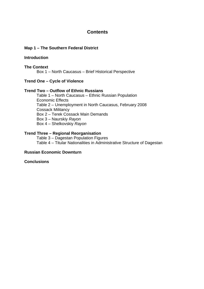## **Contents**

#### **Map 1 – The Southern Federal District**

#### **Introduction**

#### **The Context**

Box 1 – North Caucasus – Brief Historical Perspective

#### **Trend One – Cycle of Violence**

#### **Trend Two – Outflow of Ethnic Russians**

Table 1 – North Caucasus – Ethnic Russian Population Economic Effects Table 2 – Unemployment in North Caucasus, February 2008 Cossack Militancy Box 2 – Terek Cossack Main Demands Box 3 – Naurskiy *Rayon* Box 4 – Shelkovskiy *Rayon*

#### **Trend Three – Regional Reorganisation**

Table 3 – Dagestan Population Figures Table 4 – Titular Nationalities in Administrative Structure of Dagestan

#### **Russian Economic Downturn**

#### **Conclusions**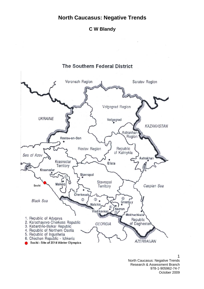# **North Caucasus: Negative Trends**

**C W Blandy**



North Caucasus: Negative Trends Research & Assessment Branch 978-1-905962-74-7 October 2009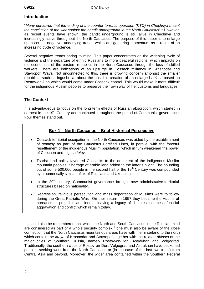#### **Introduction**

"*Many perceived that the ending of the counter-terrorist operation (KTO) in Chechnya meant*  the conclusion of the war against the bandit underground in the North Caucasus".<sup>1</sup> However, as recent events have shown, the bandit underground is still alive in Chechnya and increasingly active throughout the North Caucasus. The purpose of this paper is to enlarge upon certain negative, underlying trends which are gathering momentum as a result of an increasing cycle of violence.

Several negative trends spring to mind. This paper concentrates on the widening cycle of violence and the departure of ethnic Russians to more peaceful regions, which impacts on the economies of the eastern republics in the North Caucasus through the loss of skilled workers. There are indications of an upsurge in Cossack militancy in Krasnodar and Stavropol' *Kraya*. Not unconnected to this, there is growing concern amongst the smaller republics, such as Ingushetia, about the possible creation of an enlarged *oblast'* based on Rostov-on-Don which would come under Cossack control. This would make it more difficult for the indigenous Muslim peoples to preserve their own way of life, customs and languages.

#### **The Context**

It is advantageous to focus on the long term effects of Russian absorption, which started in earnest in the 19<sup>th</sup> Century and continued throughout the period of Communist governance. Four themes stand out.

#### **Box 1 – North Caucasus – Brief Historical Perspective**

- Cossack territorial occupation in the North Caucasus was aided by the establishment of *stanitsy* as part of the Caucasus Fortified Lines, in parallel with the forceful resettlement of the indigenous Muslim population, which in turn weakened the power of Chechen and Ingush *teipy*.
- Tsarist land policy favoured Cossacks to the detriment of the indigenous Muslim mountain peoples. Shortage of arable land added to the latter's plight. The hounding out of some 500,000 people in the second half of the 19<sup>th</sup> Century was compounded by a numerically similar influx of Russians and Ukrainians.
- In the  $20<sup>th</sup>$  century, Communist governance brought new administrative-territorial structures based on nationality.
- Repression, religious persecution and mass deportation of Muslims were to follow during the Great Patriotic War. On their return in 1957 they became the victims of bureaucratic prejudice and inertia, leaving a legacy of disputes, sources of social aggravation and conflict which remain today.

It should also be remembered that whilst the North and South Caucasus in the Russian mind are considered as part of a whole security complex,<sup>2</sup> one must also be aware of the close connection that the North Caucasus mountainous areas have with the hinterland to the north which contain the *kraya* of Krasnodar and Stavropol' together with the related *oblasts* of the major cities of Southern Russia, namely Rostov-on-Don, Astrakhan and Volgograd. Traditionally, the southern cities of Rostov-on-Don, Volgograd and Astrakhan have beckoned peoples seeking work from the North Caucasus or (in the case of the last two cities) from Central Asia and beyond. Moreover, the wider area contained within the Southern Federal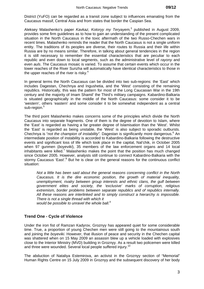District (YuFO) can be regarded as a transit zone subject to influences emanating from the Caucasus massif, Central Asia and from states that border the Caspian Sea.

Aleksey Malashenko's paper *Kavkaz, Kotoryy my Teryayem,*<sup>3</sup> published in August 2009, provides some firm guidelines as to how to gain an understanding of the present complicated situation in the North Caucasus in the toxic aftermath of the two Russo-Chechen wars in recent times. Malashenko reminds the reader that the North Caucasus is not a single uniform entity. The traditions of its peoples are diverse, their routes to Russia and their life within Russia are by no means similar. Therefore, in talking about general tendencies in the region it is still necessary to remember the essential characteristics that are peculiar to each republic and even down to local segments, such as the administrative level of *rayony* and even *auls*. The Caucasus mosaic is varied. To assume that certain events which occur in the lower reaches of the River Sunzha will automatically have identical characteristics to those in the upper reaches of the river is risky.<sup>4</sup>

In general terms the North Caucasus can be divided into two sub-regions: the 'East' which includes Dagestan, Chechnya and Ingushetia, and the 'West' consisting of the remaining republics. Historically, this was the pattern for most of the Long Caucasian War in the 19th century and the majority of Imam Shamil' the Third's military campaigns. Kabardino-Balkaria is situated geographically in the middle of the North Caucasus: some consider it to be 'western', others 'eastern' and some consider it to be somewhat independent as a central sub-region.<sup>5</sup>

The third point Malashenko makes concerns some of the principles which divide the North Caucasus into separate fragments. One of them is the degree of devotion to Islam, where the 'East' is regarded as having a far greater degree of Islamisation than the 'West'. Whilst the 'East' is regarded as being unstable, the 'West' is also subject to sporadic outbursts. Chechnya is "not the champion of instability". Dagestan is significantly more dangerous.<sup>6</sup> An intermediate position of instability is accorded to Kabardino-Balkaria following the destructive events and significant loss of life which took place in the capital, Nal'chik, in October 2005 when 97 gunmen (*boyeviki*), 35 members of the law enforcement organs and 14 local inhabitants were killed.<sup>7</sup> Malashenko makes the point that the position has much changed since October 2005. However, analysts still continue to connect Kabardino-Balkaria with the stormy Caucasus 'East'.<sup>8</sup> But he is clear on the general reasons for the continuous conflict situation:

*Not a little has been said about the general reasons concerning conflict in the North Caucasus. It is the dire economic position, the growth of material inequality, unemployment, rivalry between group interests and ethnic clans, the gulf between government elites and society, the 'exclusive' marks of corruption, religious extremism, border problems between separate republics and of republics internally. All these reasons are interlinked and to simply construct a hierarchy is impossible. There is not a single thread with which it* 

*would be possible to unravel the whole ball.<sup>9</sup>*

#### **Trend One - Cycle of Violence**

Under the iron fist of Ramzan Kadyrov, Groznyy has appeared quiet for some considerable time. True, a proportion of young Chechen men were still going to the mountainous south and joining the *boyeviki.* However, that illusion of peace and security in the Chechen capital was shattered when on 15 May 2009 an assassin blew up a vehicle loaded with explosives close to the Interior Ministry (MVD) building in Groznyy. As a result two policemen were killed and three were wounded. Several local people suffered injury.<sup>10</sup>

The abduction of Nataliya Estemirova, an activist in the Groznyy section of "Memorial" Human Rights Centre on 15 July 2009 in Groznyy and the subsequent discovery of her body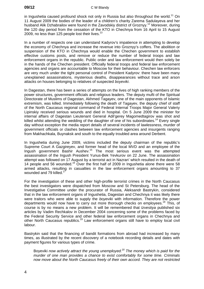in Ingushetia caused profound shock not only in Russia but also throughout the world.<sup>11</sup> On 11 August 2009 the bodies of the leader of a children's charity Zarema Sadulayeva and her husband Alik Dzhabrailov were found in the Zavodskiy district of Groznyy.<sup>12</sup> Moreover, during the 120 day period from the cessation of the KTO in Chechnya from 16 April to 15 August 2009, no less than 125 people lost their lives. $^{13}$ 

In a number of respects one can understand Kadyrov's impatience in attempting to develop the economy of Chechnya and increase the revenue into Groznyy's coffers. The abolition or suspension of the KTO in Chechnya would enable the Chechen government to establish effective customs posts, and remove or reduce the number of federal troops and law enforcement organs in the republic. Public order and law enforcement would then solely be in the hands of the Chechen president. Officially federal troops and federal law enforcement agencies and organs are accountable to Moscow for their behaviour. Chechen law enforcers are very much under the tight personal control of President Kadyrov: there have been many unexplained assassinations, mysterious deaths, disappearances without trace and arson attacks on houses belonging to relatives of suspected *boyeviki*.

In Dagestan, there has been a series of attempts on the lives of high ranking members of the power structures, government officials and religious leaders. The deputy mufti of the Spiritual Directorate of Muslims of Dagestan, Akhmed Tagayev, one of the main opponents of Islamic extremism, was killed. Immediately following the death of Tagayev, the deputy chief of staff of the North Caucasus regional command of Federal Internal Troops Major General Valeriy Lipinskiy received serious wounds and died in hospital. On 5 June 2009 the minister for internal affairs of Dagestan Lieutenant General Adil'gerey Magomedtagirov was shot and killed whilst attending the wedding of the daughter of one of his subordinates.<sup>14</sup> Every single day without exception the media report details of several incidents of lawlessness, murder of government officials or clashes between law enforcement agencies and insurgents ranging from Makhachkala, Buynaksk and south to the equally troubled area around Derbent.

In Ingushetia during June 2009, victims included the deputy chairman of the republic's Supreme Court A Gazgireyev, and former head of the local MVD and an employee of the Ingush government Bashir Aushev.15 The most serious event was the attempted assassination of the Ingush President Yunus-Bek Yevkurov on 22 June. The assassination attempt was followed on 17 August by a terrorist act in Nazran' which resulted in the death of 14 people and 56 wounded.16 Over the first half of 2009 in Ingushetia alone there were 58 armed attacks, resulting in casualties in the law enforcement organs amounting to 37 wounded and 79 killed.<sup>1</sup>

For the investigation of these and other high-profile terrorist crimes in the North Caucasus the best investigators were dispatched from Moscow and St Petersburg. The head of the Investigative Committee under the procurator of Russia, Aleksandr Bastrykin, considered that in the law enforcement organs of Ingushetia, Dagestan and Chechnya it was likely there were traitors who were able to supply the *boyeviki* with information. Therefore the power departments would now have to carry out more thorough checks on employees.<sup>18</sup> This, of course is by no means a new problem. It will be remembered that *Izvestiya* published six articles by Vadim Rechkalov in December 2004 concerning some of the problems faced by the Federal Security Service and other federal law enforcement organs in Chechnya and other North Caucasus republics.19 Law enforcement organs still have to employ local civil labour.

Bastrykin said that the financing of bandit formations from abroad had increased by many times, as illustrated by the recent discovery of a notebook recording details and dates with payment figures for various types of crime.

Boyeviki *now actively attract the young unemployed.20 The money which is paid for the murder of one man provides a chance to exist comfortably for some time. Criminals now move about the North Caucasus freely of their own accord. They are not restricted*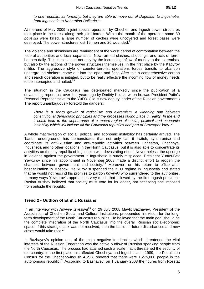*to one republic, as formerly, but they are able to move out of Dagestan to Ingushetia, from Ingushetia to Kabardino-Balkaria*. 21

At the end of May 2009 a joint special operation by Chechen and Ingush power structures took place in the forest along their joint border. Within the month of the operation some 30 *boyeviki* were killed, a large number of caches were uncovered and forest bases were destroyed. The power structures lost 19 men and 26 wounded. $^{22}$ 

The violence and skirmishes are reminiscent of the worst period of confrontation between the federal authorities and local separatists. Now, armed clashes, shootings, and acts of terror happen daily. This is explained not only by the increasing inflow of money to the extremists, but also by the actions of the power structures themselves, in the first place by the Kadyrov militia. The aggressive style of counter-terrorist operations forces bandits to abandon underground shelters, come out into the open and fight. After this a comprehensive cordon and search operation is initiated, but to be really effective the incoming flow of money needs to be intercepted and halted.<sup>23</sup>

The situation in the Caucasus has deteriorated markedly since the publication of a devastating report just over four years ago by Dmitriy Kozak, when he was President Putin's Personal Representative to the YuFO. (He is now deputy leader of the Russian government.) The report unambiguously foretold the dangers:

*There is a sharp growth of radicalism and extremism, a widening gap between constitutional democratic principles and the processes taking place in reality. In the end it could lead to the appearance of a macro-region of social, political and economic instability which will include all the Caucasus republics and part of Stavropol' kray.* <sup>24</sup>

A whole macro-region of social, political and economic instability has certainly arrived. The 'bandit underground' has demonstrated that not only can it switch, synchronise and coordinate its anti-Russian and anti-republic activities between Dagestan, Chechnya, Ingushetia and to other locations in the North Caucasus, but it is also able to concentrate its activities on the tiny republic of Ingushetia with devastating effect. Nevertheless, the upsurge in violence against the government in Ingushetia is surely misplaced. President Yunus-Bek Yevkurov since his appointment in November 2008 made a distinct effort to reopen the channels between government and society.25 Moreover, on his return to office after hospitalisation in Moscow, Yevkurov suspended the KTO regime in Ingushetia and stated that he would not rescind his promise to pardon *boyeviki* who surrendered to the authorities. In many ways Yevkurov's approach is very much that followed by the first Ingush president. Ruslan Aushev believed that society must vote for its leader, not accepting one imposed from outside the republic.

#### **Trend 2 - Outflow of Ethnic Russians**

In an interview with *Novyye Izvestiya*<sup>26</sup> on 29 July 2008 Mavlit Bazhayev, President of the Association of Chechen Social and Cultural Institutions, propounded his vision for the longterm development of the North Caucasus republics. He believed that the main goal should be the complete integration of the North Caucasus into the overall Russian social-economic space. If this strategic task was not resolved, then the basis for future disturbances and new crises would take root.<sup>27</sup>

In Bazhayev's opinion one of the main negative tendencies which threatened the vital interests of the Russian Federation was the active outflow of Russian speaking people from the North Caucasus. The process had attained such a scale that it threatened the security of the country: in the first place this affected Chechnya and Ingushetia. In 1989, the Population Census for the Checheno-Ingush ASSR, showed that there were 1,275,000 people in the autonomous republic.<sup>28</sup> According to Bazhayev, on 1 January 2008 the figures from Rosstat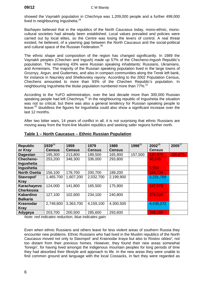showed the Vaynakh population in Chechnya was 1,209,000 people and a further 499,000 lived in neighbouring Ingushetia.<sup>29</sup>

Bazhayev believed that in the republics of the North Caucasus today, mono-ethnic, monocultural societies had already been established. Local values prevailed and policies were carried out by local elites, so the Centre was losing the levers of control. A real threat existed, he believed, of a yawning gap between the North Caucasus and the social-political and cultural space of the Russian Federation.<sup>30</sup>

The ethnic shape and composition of the region has changed significantly. In 1989 the Vaynakh peoples (Chechen and Ingush) made up 57% of the Checheno-Ingush Republic's population. The remaining 43% were Russian speaking inhabitants: Russians, Ukrainians, and Armenians. The majority of the Russian speaking population lived in the large towns of Groznyy, Argun, and Gudermes, and also in compact communities along the Terek left bank, for instance in Naurskiy and Shelkovskiy *rayony*. According to the 2002 Population Census, Chechens amounted to more than 93% of the Chechen Republic's population. In neighbouring Ingushetia the titular population numbered more than 77%.<sup>31</sup>

According to the YuFO administration, over the last decade more than 300,000 Russian speaking people had left Chechnya.<sup>32</sup> In the neighbouring republic of Ingushetia the situation was not so critical, but there was also a general tendency for Russian speaking people to leave:<sup>33</sup> doubtless the figures for Ingushetia could also show a significant increase over the last 12 months.

After two bitter wars, 14 years of conflict in all, it is not surprising that ethnic Russians are moving away from the front-line Muslim republics and seeking safer regions further north.

| <b>Republic</b>     | $1939^{34}$   | 1959          | 1979          | 1989          | $1998^{35}$ | $2002^{36}$   | $2005^{37}$ |
|---------------------|---------------|---------------|---------------|---------------|-------------|---------------|-------------|
| or Kray             | <b>Census</b> | <b>Census</b> | <b>Census</b> | <b>Census</b> |             | <b>Census</b> |             |
| <b>Dagestan</b>     | 195,300       | 213,800       | 189,500       | 165,900       | 157,500     | 120,875       | 100,875     |
| <b>Checheno-</b>    | 253,200       | 348,300       | 336,000       | 293,800       |             | 40,845        |             |
| Ingushetia          |               |               |               |               |             |               |             |
| Ingushetia          |               |               |               |               |             | 5,559         |             |
| <b>North Osetia</b> | 156,100       | 178,700       | 200,700       | 189,200       |             | 164,734       |             |
| Stavropol'          | 1,465,700     | 1,607,200     | 2,032,700     | 2,199,900     |             | 2,231,759     |             |
| <b>Kray</b>         |               |               |               |               |             |               |             |
| Karachayevo         | 124,000       | 141,800       | 165,500       | 175,900       |             | 147,878       |             |
| <b>Cherkessia</b>   |               |               |               |               |             |               |             |
| <b>Kabardino</b>    | 127,100       | 102,600       | 234,100       | 240,800       |             | 226,620       |             |
| <b>Balkaria</b>     |               |               |               |               |             |               |             |
| <b>Krasnodar</b>    | 2,748,800     | 3,363,700     | 4,159,100     | 4,300,500     |             | 4,436,272     |             |
| <b>Kray</b>         |               |               |               |               |             |               |             |
| Adygeya             | 203,700       | 200,500       | 285,600       | 293,600       |             | 288,280       |             |

#### **Table 1 – North Caucasus – Ethnic Russian Population**

*Note: red indicates reduction, blue indicates gain.* 

Even when ethnic Russians and others leave for less violent areas of southern Russia they encounter new problems. Ethnic Russians who had lived in the Muslim republics of the North Caucasus moved not only to Stavropol' and Krasnodar *kraya* but also to Rostov *oblast'*, not too distant from their previous homes. However, they found their new areas somewhat 'foreign', for having lived amongst the indigenous mountain peoples for long periods of time they had absorbed their lifestyle and approach to life. In the new areas they were unable to find common ground and language with the local Cossacks, in fact they were regarded as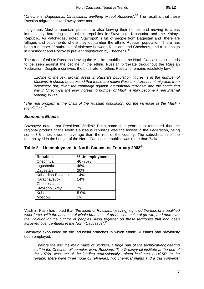"*Chechens, Dagestanis, Circassians, anything except Russians".*38 The result is that these Russian migrants moved away once more.

Indigenous Muslim mountain people are also leaving their homes and moving to areas immediately bordering their ethnic republics in Stavropol', Krasnodar and the Kalmyk Republic. As Vatchagaev noted, Stavropol' is full of people from Dagestan and there are villages and settlements where they outnumber the ethnic Russian population. There has been a number of outbreaks of violence between Russians and Chechens, and a campaign in Krasnodar and Rostov to prevent registration by Chechens.<sup>39</sup>

The trend of ethnic Russians leaving the Muslim republics in the North Caucasus also needs to be seen against the decline in the ethnic Russian birth-rate throughout the Russian Federation. Despite incentives, the birth rate for ethnic Russians remains resolutely low.<sup>40</sup>

*...[O]ne of the few growth areas in Russia's population figures is in the number of Muslims. It should be stressed that these are native Russian citizens, not migrants from elsewhere but, given the campaign against international terrorism and the continuing war in Chechnya, the ever increasing number of Muslims may become a real internal security issue.<sup>41</sup>*

"*The real problem is the crisis of the Russian population, not the increase of the Muslim population..."*<sup>42</sup>

#### *Economic Effects*

Bazhayev noted that President Vladimir Putin some four years ago remarked that the regional product of the North Caucasus republics was the lowest in the Federation, being some 3-8 times lower on average than the rest of the country. The subsidisation of the unemployed in the budget of the North Caucasus republics was more than 74%.<sup>43</sup>

| <b>Republic</b>    | % Unemployment |
|--------------------|----------------|
| Chechnya           | 46 - 75%       |
| Ingushetia         | 46%            |
| Dagestan           | 20%            |
| Kabardino-Balkaria | 14%            |
| Karachayevo-       | 14%            |
| Cherkessia         |                |
| Stavropol' kray    | 7%             |
| Kuban'             | 5.9%           |
| <b>Moscow</b>      | 1%             |

**Table 2 – Unemployment in North Caucasus, February 2008**<sup>44</sup>

Vladimir Putin had noted that "*the issue of Russians* [leaving] *signified the loss of a qualified work-force, with the absence of whole branches of production, cultural growth, and moreover the violation of the culture of peoples living together on these territories that had been achieved over centuries in the North Caucasus*".45

Bazhayev expounded on the industrial branches in which ethnic Russians had previously been employed:

*... before the war the main mass of workers, a large part of the technical-engineering staff in the Chechen oil complex were Russians. The Groznyy oil institute at the end of the 1970s...was one of the leading professionally trained institutes in USSR. In the republic there were three huge oil refineries, two chemical plants and a gas converter*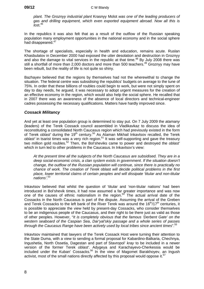*plant. The Groznyy industrial plant* Krasnyy Molot *was one of the leading producers of gas and drilling equipment, which even exported equipment abroad. Now all this is*   $I$ ost.  $46$ 

In the republics it was also felt that as a result of the outflow of the Russian speaking population many employment opportunities in the national economy and in the social sphere had disappeared.<sup>47</sup>

The shortage of specialists, especially in health and education, remains acute. Ruslan Khasbulatov in December 2000 had exposed the utter desolation and destruction in Groznyy and also the damage to vital services in the republic at that time.<sup>48</sup> By July 2008 there was still a shortfall of more than 2,000 doctors and more than 500 teachers.<sup>49</sup> Groznyy may have been rebuilt, but the reality of life is not quite so shiny.

Bazhayev believed that the regions by themselves had not the wherewithal to change the situation. The federal centre was subsidising the republics' budgets on average to the tune of 75%. In order that these billions of roubles could begin to work, but were not simply spent on day to day needs, he argued, it was necessary to adopt urgent measures for the creation of an effective economy in the region, which would also help the social sphere. He recalled that in 2007 there was an awareness of the absence of local directors and technical-engineer cadres possessing the necessary qualifications. Matters have hardly improved since.

#### *Cossack Militancy*

And yet at least one population group is determined to stay put. On 7 July 2009 the *atamany* (leaders) of the Terek Cossack council assembled in Vladikavkaz to discuss the idea of reconstituting a consolidated North Caucasus region which had previously existed in the form of Terek *oblast'* during the 19<sup>th</sup> century.<sup>50</sup> As Ataman Mikhail Inkavtsov recalled, the Terek oblast' in tsarist times was a very rich region.<sup>51</sup> It was self-supporting and gave the treasury two million gold roubles.52 Then, the Bol'sheviks came to power and destroyed the *oblast'* which in turn led to other problems in the Caucasus. In Inkavtsov's view:

*At the present time all the subjects of the North Caucasus are subsidised. They are in a deep social-economic crisis, a clan system exists in government*. *If the situation doesn't change, the outflow of the Russian population will continue, since there is practically no chance of work. The creation of Terek* oblast *will decide political problems in the first place, lower territorial claims of certain peoples and will dissipate 'titular and non-titular nations'*. 53

Inkavtsov believed that whilst the question of 'titular and 'non-titular nations' had been introduced in Bol'shevik times, it had now assumed a far greater importance and was now one of the causes of ethnic nationalism in the region.<sup>54</sup> The actual arrival date of the Cossacks in the North Caucasus is part of the dispute. Assuming the arrival of the Greben and Terek Cossacks to the left bank of the River Terek was around the  $16<sup>th</sup>/17<sup>th</sup>$  centuries, it is possible to appreciate the view held by present-day Cossacks, who consider themselves to be an indigenous people of the Caucasus, and their right to be there just as valid as those of other peoples. However, "*It is completely obvious that the famous 'Derbent Gate' on the western seaboard of the Caspian Sea*, *Dar'yal'skiy passage and a whole series of passes through the Caucasus Range have been actively used by local tribes since ancient times*".<sup>55</sup>

Inkavtsov maintained that lawyers of the Terek Cossack Host were turning their attention to the State Duma, with a view to sending a formal proposal for Kabardino-Balkaria, Chechnya, Ingushetia, North Ossetia, Dagestan and part of Stavropol' *kray* to be included in a newer version of the former Terek *oblast'*. Adygeya and Karachayevo-Cherkessia would be included under the Kuban' Cossacks.<sup>56</sup> In the view of Magomet Barakhoyev, an Ingush activist, most of the small nations directly affected by this proposal would oppose it.<sup>57</sup>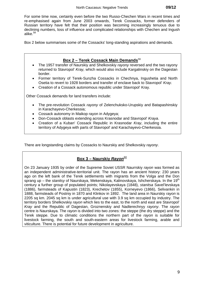For some time now, certainly even before the two Russo-Chechen Wars in recent times and re-emphasised again from June 2003 onwards, Terek Cossacks, former defenders of Russian territory have felt that their position was becoming increasingly tenuous due to declining numbers, loss of influence and complicated relationships with Chechen and Ingush alike. $58$ 

Box 2 below summarises some of the Cossacks' long-standing aspirations and demands.

#### **Box 2 – Terek Cossack Main Demands**<sup>59</sup>

- The 1957 transfer of Naurskiy and Shelkovskiy *rayony* reversed and the two rayony returned to Stavropol' *Kray,* which would also include Kargalinskiy on the Dagestan border.
- Former territory of Terek-Sunzha Cossacks in Chechnya, Ingushetia and North Osetia to revert to 1928 borders and transfer of enclave back to Stavropol' *Kray*.
- Creation of a Cossack autonomous republic under Stavropol' Kray.

Other Cossack demands for land transfers include:

- The pre-revolution Cossack *rayony* of Zelenchuksko-Urupskiy and Batapashinskiy in Karachayevo-Cherkessia;
- Cossack autonomy in Maikop rayon in Adygeya;
- Don-Cossack oblasts extending across Krasnodar and Stavropol' *Kraya*.
- Creation of a Kuban' Cossack Republic in Krasnodar *Kray*, including the entire territory of Adygeya with parts of Stavropol' and Karachayevo-Cherkessia.

There are longstanding claims by Cossacks to Naurskiy and Shelkovskiy *rayony*.

# **Box 3 – Naurskiy Rayon**<sup>60</sup>

On 23 January 1935 by order of the Supreme Soviet USSR Naurrskiy *rayon* was formed as an independent administrative-territorial unit. The rayon has an ancient history: 230 years ago on the left bank of the Terek settlements with migrants from the Volga and the Don sprang up – the *stanitsy* of Naurskaya, Mekenskaya, Kalinovskaya, Ishcherskaya. In the 19<sup>th</sup> century a further group of populated points; Nikolayevskaya (1848), *stanitsa* Savel'levskaya (1886), farmsteads of Kapustin (1823), Krechetov (1855), Korneyevo (1866), Selivankin in 1888, farmsteads of Postniy in 1870 and Klinkov in 1892. The land area in Naurskiy *rayon* is 2205 sq km. 2045 sq km is under agricultural use with 3.9 sq km occupied by industry. The territory borders Shelkovskiy *rayon* which lies to the east, to the north and east are Stavropol' *Kray* and the Republic of Dagestan, Groznenskiy and Nadterechnyy *rayony*. The *rayon* centre is Naurskaya. The *rayon* is divided into two zones: the steppe (the dry steppe) and the Terek steppe. Due to climatic conditions the northern part of the *rayon* is suitable for livestock farming, the south and south-eastern areas for livestock farming, arable and viticulture. There is potential for future development in agriculture.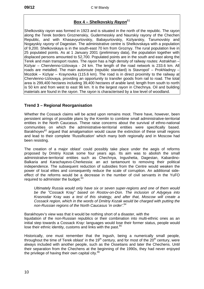## **Box 4 – Shelkovskiy** *Rayon*<sup>61</sup>

Shelkovskiy *rayon* was formed in 1923 and is situated in the north of the republic. The *rayon* along the Terek borders Groznenskiy, Gudermesskiy and Naurskiy rayony of the Chechen Republic, and with Khasavyurtovskiy, Babayurtovskiy, Kizlyarskiy, Tarumovskiy and Nogayskiy *rayony* of Dagestan. The administrative centre is Shelkovskaya with a population of 9,200. Shelkovskaya is in the south-east 70 km from Groznyy. The rural population live in 25 populated points. As at 1 January 2001 (preliminary data), the population together with displaced persons amounted to 52,700. Populated points are in the south and east along the Terek and main transport routes. The *rayon* has a high density of railway routes: Astrakhan – Kizlyar – Chervlenno-Uzlovaya - 24 km. The length of the road network is 233.6 km. All roads are metalled. The main autoroute (republic standard) is Stavropol' – Prokhladnyy – Mozdok – Kizlyar – Kraynovka (115.6 km). The road is in direct proximity to the railway at Chervlenno-Uzlovaya, providing an opportunity to transfer goods from rail to road. The total area is 299,400 hectares including 39,400 hectares of arable land; length from south to north is 50 km and from west to east 96 km. It is the largest *rayon* in Chechnya. Oil and building materials are found in the *rayon*. The *rayon* is characterised by a low level of woodland.

#### **Trend 3 – Regional Reorganisation**

Whether the Cossack claims will be acted upon remains moot. There have, however, been persistent airings of possible plans by the Kremlin to combine small administrative-territorial entities in the North Caucasus. These raise concerns about the survival of ethno-national communities on which the administrative-territorial entities were specifically based. Barakhoyev $62$  argued that amalgamation would cause the extinction of these small regions and lead to their complete 'Russification' which many both regionally and in Moscow had been resisting.

The creation of a major oblast' could possibly take place under the aegis of reforms proposed by Dmitriy Kozak some four years ago. Its aim was to abolish the small administrative-territorial entities such as Chechnya, Ingushetia, Dagestan, Kabardino-Balkaria and Karachayevo-Cherkessia: an act tantamount to removing their political independence. The subsequent reduction of subsidies from the Centre would weaken the power of local elites and consequently reduce the scale of corruption. An additional sideeffect of the reforms would be a decrease in the number of civil servants in the YuFO required to administer the budget.<sup>63</sup>

*Ultimately Russia would only have six or seven super-regions and one of them would be the "Cossack* Kray*" based on Rostov-on-Don. The inclusion of Adygeya into Krasnodar* Kray *was a test of this strategy, and after that, Moscow will create a Cossack region, which in the words of Dmitriy Kozak would be charged with putting the non-Russian regions of the North Caucasus 'in order'*. 64

Barakhoyev's view was that it would be nothing short of a disaster, with the liquidation of the non-Russian republics or their combination into multi-ethnic ones as an initial step towards a Cossack *Kray*: languages would lose their former status, people would lose their ethnic identity, customs and links with the past.<sup>65</sup>

Historically, one must remember that the Ingush, being a numerically small people, throughout the time of Terek oblast' in the  $19<sup>th</sup>$  century, and for most of the  $20<sup>th</sup>$  century, were always included with another people, such as the Ossetians and later the Chechens. Until their separation from the Chechens at the beginning of the 1990s, they had never enjoyed the privilege of having their own capital city. $66$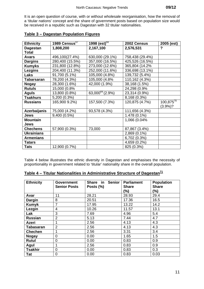It is an open question of course, with or without wholesale reorganisation, how the removal of a 'titular nations' concept and the share of government posts based on population size would be received in a republic such as Dagestan with 32 titular nationalities.

| <b>Ethnicity</b>  | 1989 Census $67$ | $1998$ (est) <sup>68</sup> | 2002 Census     | 2005 (est)     |
|-------------------|------------------|----------------------------|-----------------|----------------|
| <b>Dagestan</b>   | 1,808,200        | 2,167,100                  | 2,576,531       | ?              |
| <b>Total</b>      |                  |                            |                 |                |
| <b>Avars</b>      | 496,100(27.4%)   | 630,000 (29.1%)            | 758,438 (29.4%) |                |
| <b>Dargins</b>    | 280,400 (15.5%)  | 357,000 (16.5%)            | 425,526 (16.5%) |                |
| <b>Kumyks</b>     | 231,800 (12.8%)  | 273,000 (12.6%)            | 365,804 (14.2%  |                |
| <b>Lezgins</b>    | 204,400 (11.3%)  | 252,000 (11.6%)            | 336,698 (13.1%) |                |
| <b>Laks</b>       | 91,700 (5.1%)    | 105,000 (4.8%)             | 139,732 (5.4%)  |                |
| <b>Tabarsaran</b> | 78,200 (4.3%)    | 105,000 (4.8%              | 110,162 (4.3%)  |                |
| <b>Nogay</b>      | 28,300 (1.6%)    | 42,000 (1.9%)              | 38,168 (1.5%)   |                |
| <b>Rutuls</b>     | 15,000 (0.8%     |                            | 24,298 (0.9%    |                |
| <b>Aguls</b>      | 13,800 (0.8%)    | $63,000^{69}$ (2.9%)       | 23,314 (0.9%)   |                |
| <b>Tsakhurs</b>   | 5,200 (0.3%)     |                            | 8,168 (0.3%)    |                |
| <b>Russians</b>   | 165,900 9.2%)    | 157,500 (7.3%)             | 120,875 (4.7%)  | $100,875^{70}$ |
|                   |                  |                            |                 | $(3.9\%)$ ?    |
| Azerbaijanis      | 75,000 (4.2%)    | 93,578 (4.3%)              | 111,656 (4.3%)  |                |
| <b>Jews</b>       | 9,400 (0.5%)     |                            | 1.478 (0.1%)    |                |
| <b>Mountain</b>   |                  |                            | 1,066 (0.04%    |                |
| Jews              |                  |                            |                 |                |
| <b>Chechens</b>   | 57,900 (0.3%)    | 73,000                     | 87,867 (3.4%)   |                |
| <b>Ukrainians</b> |                  |                            | 2,869 (0.1%)    |                |
| <b>Armenians</b>  |                  |                            | 6,702 (0.3%)    |                |
| <b>Tatars</b>     |                  |                            | 4,659 (0.2%)    |                |
| <b>Tats</b>       | 12,900 (0.7%)    |                            | 825 (0.3%)      |                |

### **Table 3 – Dagestan Population Figures**

Table 4 below illustrates the ethnic diversity in Dagestan and emphasises the necessity of proportionality in government related to 'titular' nationality share in the overall population.

| <b>Ethnicity</b> | <b>Government</b>   | <b>Senior</b><br>Share in | <b>Parliament</b> | <b>Population</b> |
|------------------|---------------------|---------------------------|-------------------|-------------------|
|                  | <b>Senior Posts</b> | Posts (%)                 | <b>Share</b>      | <b>Share</b>      |
|                  |                     |                           | (%)               | (%)               |
| Avar             | 11                  | 28.21                     | 28.93             | 29.4              |
| <b>Dargin</b>    | 8                   | 20.51                     | 17.36             | 16.5              |
| <b>Kumyk</b>     | $\overline{7}$      | 17.95                     | 13.22             | 14.2              |
| Lezgin           | 4                   | 10.26                     | 11.57             | 13.1              |
| Lak              | 3                   | 7.69                      | 4.96              | 5.4               |
| <b>Russian</b>   | $\overline{2}$      | 5.13                      | 7.44              | 4.7               |
| Azeri            |                     | 2.56                      | 4.13              | 4.3               |
| <b>Tabasaran</b> | $\overline{2}$      | 2.56                      | 4.13              | 4.3               |
| <b>Chechen</b>   | 1                   | 2.56                      | 3.31              | 3.4               |
| <b>Nogay</b>     | 0                   | 0.00                      | 1.65              | 1.5               |
| Rutul            | 0                   | 0.00                      | 0.83              | 0.9               |
| Agul             | 1                   | 2.56                      | 0.83              | 0.9               |
| <b>Tsakhir</b>   | 0                   | 0.00                      | 0.83              | 0.3               |
| Tat              | 0                   | 0.00                      | 0.83              | 0.03              |

# **Table 4 – Titular Nationalities in Administrative Structure of Dagestan<sup>71</sup>**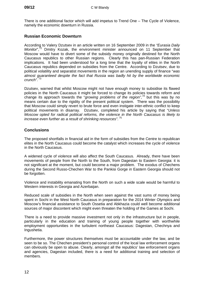There is one additional factor which will add impetus to Trend One – The Cycle of Violence, namely the economic downturn in Russia.

#### **Russian Economic Downturn**

According to Valery Dzutsev in an article written on 16 September 2009 in the *"Eurasia Daily Monitor*",<sup>72</sup> Dmitry Kozak, the environment minister announced on 11 September that Moscow would have to divert some of the subsidy money originally destined for the North Caucasus republics to other Russian regions. Clearly this has pan-Russian Federation implications. It had been understood for a long time that the loyalty of elites in the North Caucasus republics depended on subsidies from the Centre. According to Dzutsev, due to political volatility and separatist movements in the region an unending supply of finance "*was almost guaranteed despite the fact that Russia was badly hit by the worldwide economic*  crunch".<sup>73</sup>

Dzutsev, warned that whilst Moscow might not have enough money to subsidise its flawed policies in the North Caucasus it might be forced to change its policies towards reform and change its approach towards the "*growing problems of the region",<sup>74</sup>* but this was by no means certain due to the rigidity of the present political system. There was the possibility that Moscow could simply revert to brute force and even instigate inter-ethnic conflict to keep political movements in disarray. Dzutsev, completed his article by saying that "*Unless Moscow opted for radical political reforms, the violence in the North Caucasus is likely to increase even further as a result of shrinking resources"*. 75

#### **Conclusions**

The proposed shortfalls in financial aid in the form of subsidies from the Centre to republican elites in the North Caucasus could become the catalyst which increases the cycle of violence in the North Caucasus.

A widened cycle of violence will also affect the South Caucasus. Already, there have been movements of people from the North to the South, from Dagestan to Eastern Georgia: it is not significant at the moment, but could become a major problem. The exodus of Chechens during the Second Russo-Chechen War to the Pankisi Gorge in Eastern Georgia should not be forgotten.

Violence and instability emanating from the North on such a wide scale would be harmful to Western interests in Georgia and Azerbaijan.

Reduced scale of subsidies in the North when seen against the vast sums of money being spent in Sochi in the West North Caucasus in preparation for the 2014 Winter Olympics and Moscow's financial assistance to South Ossetia and Abkhazia could well become additional sources of major discontent which might even threaten the holding of the Games at Sochi.

There is a need to provide massive investment not only in the infrastructure but in people, particularly in the education and training of young people together with worthwhile employment opportunities in the turbulent northeast Caucasus: Dagestan, Chechnya and Ingushetia.

Furthermore, the power structures themselves must be accountable under the law, and be seen to be so. The Chechen president's personal control of the local law enforcement organs can obviously be open to abuse. Clearly, amongst all the republics' law enforcement organs and agencies, Dagestan included, there is a need for additional training and selection of members.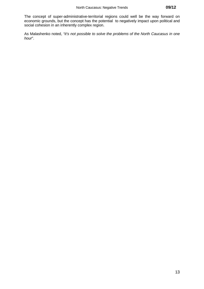The concept of super-administrative-territorial regions could well be the way forward on economic grounds, but the concept has the potential to negatively impact upon political and social cohesion in an inherently complex region.

As Malashenko noted, *"it's not possible to solve the problems of the North Caucasus in one hour*".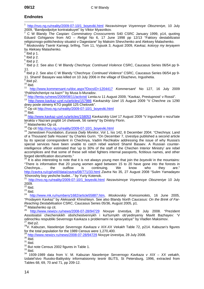#### **Endnotes**

 $\mathbf{1}$ <sup>1</sup> http://nvo.ng.ru/reality/2009-07-10/1\_boyeviki.html *Nezavisimoye Voyennoye Obozreniye*, 10 July 2009, "Bandpodpolye kontratakuyet" by Viktor Myasnikov.

2 C W Blandy *The Caspian: Comminatory Crosscurrents* S40 CSRC January 1999, p14, quoting Eduard Ozhiganov from *NG* – *Religii* No 6, 17 June 1998 pp 12/13 "Faktory destabilizatsii religioznogo-politicheskoy situatsii v Dagestane" by Maksim Shevchenko and Aleksey Malashenko. 3

 Moskovskiy Tsentr Karnegi, brifing, Tom 11, Vypusk 3, August 2009, *Kavkaz, kotoryy my teryayem* by Aleksey Malashenko.

 $4$  Ibid p 1.

 $5$  Ibid p 2.

 $6$  lbid p 2.

<sup>7</sup> Ibid p 2. See also C W Blandy *Chechnya: Continued Violence* CSRC, Caucasus Series 06/54 pp 9-11.

8 Ibid p 2. See also C W Blandy "*Chechnya: Continued Violence*" CSRC, Caucasus Series 06/54 pp 9- 11. Shamil' Basayev was killed on 10 July 2006 in the village of Ekazhevo, Ingushetia. 9

 $9$  Ibid p2.

 $10$  Ibid.

<sup>11</sup> http://www.kommersant.ru/doc.aspx?DocsID=1204417 *Kommersant*' No 127, 16 July 2009 "Pokhishcheniye na kazn'" by Musa b-Muradov.

<sup>12</sup> http://lenta.ru/news/2009/08/11/activist/ *Lenta.ru* 11 August 2009, "Kavkaz, Prestupnost' v Rossii". 13 http://www.kavkaz-uzel.ru/articles/157986 *Kavkazskiy Uzel* 15 August 2009 "V Chechne za 1290 dney posle otmeny KTO pogibli 125 Chelovek".

<sup>14</sup> Op cit http://nvo.ng.ru/reality/2009-07-10/1\_boyeviki.html<br><sup>15</sup> Ibid

<sup>16</sup> http://www.kavkaz-uzel.ru/articles/158053 *Kavkazskiy Uzel* 17 August 2009 "V Ingushetii v rezul'tate terakta v Nazrani pogibli 14 chelovek, 56 raneny" by Dmitriy Florin.

<sup>17</sup> Malashenko Op cit.<br><sup>18</sup> Op cit <u>http://nvo.ng.ru/reality/2009-07-10/1\_boyeviki.html</u><br><sup>19</sup> Jamestown Foundation, *Eurasia Daily Monitor*, Vol 1, Iss 142, 8 December 2004. "Chechnya: Land of a Thousand Safe Houses" by Charles Gurin. "On December 7, *Izvestiya* published a second article by its special correspondent in Chechnya, Vadim Rechkalov addressing the issue of why Russia's special services have been unable to catch rebel warlord Shamil Basaev. A Russian counterintelligence officer estimated that 'up to 30% of the staff of the Chechen Interior Ministry' are rebel accomplices and that some of these sell rebel fighters internal passports, fictitious names, and other forged identification documents."

20 It is also interesting to note that it is not always young men that join the *boyeviki* in the mountains: "There is information that 20 young women aged between 15 to 20 have gone into the forests in<br>Chechnya... the outflow is continuing. We know who they are." Chechnya... the outflow is continuing. We know who they are." http://zavtra.ru/cgi/veil//data/zavtra/08/771/33.html *Zavtra* No 35, 27 August 2008 "Sulim Yamadayev

'Khoroshiy boy yeshche budet...*"* by Yuriy Kotenok. 21 http://nvo.ng.ru/reality/2009-07-10/1\_boyeviki.html *Nezavisimoye Voyennoye Obozreniye* 10 July 2009.

 $^{22}$  Ibid.

 $^{23}$  Ibid.

<sup>24</sup> http://www.mk.ru/numbers/1682/article55887.htm, *Moskovskiy Komsomolets*, 16 June 2005, "Prodayem Kavkaz" by Aleksandr Khinshteyn. See also Blandy *North Caucasus: On the Brink of Far-Reaching Destabilisation* CSRC, Caucasus Series 05/36, August 2005, p1.<br><sup>25</sup> Malashenko op cit.<br><sup>26</sup> http://www.newizv.ru/news/2008-07-28/94729 *Novyye Izvestiya,* 28 July 2008. "Prezident

Assotsiatsii chechenskikh obshchestvennykh i kul'turnykh ob'yedinyeniy Mavlit Bazhayev: 'V odinochku respubliki Severnogo Kavkaza s problemami ne spravyatsya" by Vladlen Maksimov.<br><sup>27</sup> Ibid p2.

<sup>28</sup>V. Kabuzan, *Naseleniye Severnogo Kavkaza v XIX-XX Vekakh* Table 72, p214. Kabuzan's figures for the total population for the 1989 Census were 1,270,400.

<sup>29</sup> http://www.newizv.ru/news/2008-07-28/94729 *Novyye Izvestiya,* 28 July 2008.<br><sup>30</sup> Ibid

 $31$  Ibid.

 $\frac{32}{33}$  But note Census 2002 figures in Table 1.<br> $\frac{33}{101}$  Ibid.

34 1939-1989 data from V. M. Kabuzan *Naseleniye Servernogo Kavkaza v XIX – XX vekakh*, Izdatel'stvo Russko-Baltiyskiy informatsionniy tesntr BLITS, St Petersburg, 1996, extracted from Tables 68, 69, 70 and 71, pp 209-12.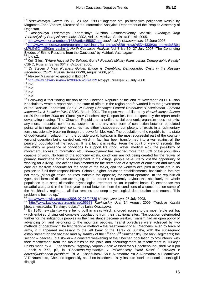<sup>35</sup> *Nezavisimaya Gazeta* No 72, 23 April 1998 "Dagestan stal politicheskim poligonom Rossii" by Magomed-Zarid Varisov, Director of the Information-Analytical Department of the Peoples Assembly of Dagestan.

36 Rossiyskaya Federatsiya Federal'naya Sluzhba Gosudarstvenoy Statistiki, *Svodnyye Itogi Vserossiyskoy Perepisi Naseleniya 2002*, Vol 14, Moskva, Statistika Rossii, 2005.

<sup>37</sup> http://www.mk.ru/numbers/1682/article55887.htm *Moskovskiy Komsomolets,* 16 June 2005.

38http://www.jamestown.org/programs/ncw/single/?tx\_ttnews%5Btt\_news%5D=4339&tx\_ttnews%5Bba ckPid%5D=189&no\_cache=1 *North Caucasus Analysis* Vol 8 Iss 30, 27 July 2007 "The Continuing

<sup>39</sup> Ibid p2.<br><sup>40</sup> Keir Giles, "*Where have all the Soliders Gone? Russia's Military Plans versus Demographic Reality"* CSRC, Russian Series 06/47, October 2006.

41 Dr Steven J Main *Russia's Golden Bridge is Crumbling: Demographic Crisis in the Russian* 

*Federation,* CSRC, Russia Series 06/39, August 2006, p14.<br><sup>42</sup> Aleksey Malashenko quoted in Ibid p14.<br><sup>43</sup> http://www.newizv.ru/news/2008-07-28/94729 *Novyye Izvestiya,* 28 July 2008.<br><sup>44</sup> Ibid.

 $45$  Ibid.

 $46$  Ibid.

 $47$  Ibid.

<sup>48</sup> Following a fact finding mission to the Chechen Republic at the end of November 2000, Ruslan Khasbulatov wrote a report about the state of affairs in the region and forwarded it to the government of the Russian Federation. See C W Blandy *Chechnya: Federal Retribution "Encirclement, Forceful Intervention & Isolation* P34, CSRC, March 2001. The report was published by *Nezavisimaya Gazeta*  on 29 December 2000 as "Situatsiya v Chechenskoy Respublike". Not unexpectedly the report made devastating reading. "The Chechen Republic as a unified social-economic organism does not exist any more. Industrial, commerce, sustenance and any other form of connection between populated points which operated over centuries has either disappeared completely, or exists in a rudimentary form, occasionally breaking through the powerful 'blockers'. The population of the republic is in a state of god-forsaken isolation from the outside world. Isolation is the most successful part of the counterterrorist operation being carried out, which in fact has been transformed into a war against all the peaceful population of the republic. It is a fact, it is reality. From the point of view of security, the availability or presence of conditions to support life (food, water, medical aid), the possibility of movement, access to information etc. Unemployment has reached more than 80% of the population capable of work. No form of the economy exists, conditions are not being created for the revival of primary, handmade forms of management in the village, people have utterly lost the opportunity of working for a living. The actions implemented for the recreation of a system of education and medical care are far from adequate for the scale of the tasks, and the workers occupied in them are in no position to fulfil their responsibilities. Schools, higher education establishments, hospitals in fact are not ready (although official sources maintain the opposite) for normal operation. In the republic all types and forms of disease are raging, to the extent it is patently obvious that absolutely the whole population is in need of medico-psychological treatment on an in-patient basis. To experience two dreadful wars, and in the three year period between them the conditions of a concentration camp of the Maskhadov regime … all that remains are deep psychological deterioration and trauma. This problem is hushed up."<br><sup>49</sup> http://www.newizy.ru/news/2008-07-28/94729 Novyye Izvestiya, 28 July 2008.

<sup>49</sup> http://www.newizv.ru/news/2008-07-28/94729 *Novyye Izvestiya,* 28 July 2008. 50 http://www.kavkaz-uzel.ru/articles/156573 *Kavkazskiy Uzel* 14 August 2009 "Terskiye Kazaki khotyat vossozdat' Terskuyu oblast'" by Luiza Orazayeva.

51 By 1845 new *stanitsy* were being built in areas which afforded access to the most fertile soil but which entailed driving out complete populations from their traditional sites. The position deteriorated further for the indigenous peoples as their resistance became weaker. Tsarism had an open policy of advancing on land belonging to the mountain peoples. Tsarist objectives were achieved by two methods of operation: "The first decisive method – the resettlement of all Chechens, even by force of arms, if it appeared necessary to the left bank of the Terek or Sunzha, with the subsequent establishment on the vacated land by *stanitsy* of the 1<sup>st</sup> and 2<sup>nd</sup> Sunzhenskiy Cossack Regiments; the second – peaceful, but slower – a constant weakening of the Chechen population by 'volunteers' with their resettlement from the mountains to the plain and encouragement of resettlement in Turkey." Points made by A. I. Khasbulatov "Agrarnyy vopros v politike tsarizma v Checheno-Ingushetii vo II pol - nach v XX", p7, in "*Checheno-Ingushetiya v Politicheskoy istorii Rossi i Kavkaza v dorevolyutsionnom proshlom*" Ed. A I Khasbulatov, Sh B Akhmadov, Ya Z Akhmadov, A I Mamkiyev, V E Naumenko, Chechno-Ingushskiy nauchno-Issledovatel'skiy institute istorii, ekonomiki, sotsilogii i filologii.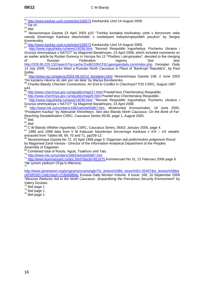<sup>52</sup> http://www.kavkaz-uzel.ru/articles/156573 Kavkazskiy Uzel 14 August 2009.<br><sup>53</sup> Op cit.<br><sup>54</sup> Ibid

<sup>55</sup> *Nezavisimaya Gazeta* 23 April 2003 p15 "Tochka kontakta tsivilizatsiy uzhe v bonzovom veke narody Severnogo Kavkaza obschchalis' s nositelyami indoyevropeyskikh yazykov" by Sergey Korenevskiy.

<sup>56</sup> http://www.kavkaz-uzel.ru/articles/156573 *Kavkazskiy Uzel* 14 August 2009. 57 http://www.ingushetia.ru/news/14036.html "Novosti Respubliki Ingushetiya: Pochemu Ukraina i Gruziya stremyatsiya v NATO?" by Magomet Barakhoyev, 23 April 2008, which included comments on an earlier article by Ruslan Gorevoy in *Versiya* No 12 "Plodites i ukrupnyates", devoted to the merging of Russian Federation regions. See also http://209.85.229.132/search?q=cache:Dxd8153hCF8J:georgiandaily.com/index.php *Georgian Daily* 14 July 2009, "Cossacks Want a Russian North Caucasus in Place of 'Bankrupt' Republics", by Paul Goble.

<sup>58</sup> http://www.ng.ru/regions/2003-06-02/14\_bondarev.html *Nezavisimaya Gazeta* 108, 2 June 2003 "Do kazakov nikomu do sikh por net dela" by Mariya Bondarenko.

59 Charles Blandy *Chechen Connections: An End to Conflict in Chechnya?* P25 CSRC, August 1997 p43.

<sup>60</sup> <u>http://www.chechnya.gov.ru/republic/map/17.html</u> Pravitel'stvo Chechenskoy Respubliki.<br><sup>61</sup> <u>http://www.chechnya.gov.ru/republic/map/8.html</u> Pravitel'stvo Chechenskoy Respubliki.<br><sup>62</sup> <u>http://www.ingushetia.ru/news/1</u> Gruziya stremyatsiya v NATO?" by Magomet Barakhoyev, 23 April 2008.<br><sup>63</sup> http://www.mk.ru/numbers/1682/article55887.htm, *Moskovskiy Komsomolets*, 16 June 2005,

"Prodayem Kavkaz" by Aleksandr Khinshteyn. See also Blandy *North Caucasus: On the Brink of Far-Reaching Destabilisation* CSRC, Caucasus Series 05/36, page 1, August 2005.<br><sup>64</sup> Ibid.

65 Ibid.<br><sup>65</sup> Ibid.<br><sup>66</sup> C W Blandy *Whither Ingushetia,* CSRC, Caucasus Series, 06/03, January 2006, page 4.

<sup>67</sup> 1989 and 1998 data from V M Kabuzan Naseleniye Servernogo Kavkaza v XIX – XX vekakh, *e*xtracted from Tables 68, 69, 70 and 71, pp209-12.

<sup>68</sup> *Nezavisimaya Gazeta* No 72, 23 April 1998 page 5 "*Dagestan stal politicheskim poligonom Rossii*  by Magomed-Zarid Varisov - Director of the Information-Analytical Department of the Peoples

Assembly of Dagestan.<br><sup>69</sup> Combined total of Rutuls, Aguls, Tsakhurs and Tats.

69 Combined total of Rutuls, Aguls, Tsakhurs and Tats. 70 http://www.mk.ru/numbers/1682/article55887.htm <sup>71</sup> http://www.kommersant.ru/doc.html?docld=651675 *Kommersant* No 31, 21 February 2006 page 6 "*Ne synom yedinym* Ol'ga b-Allenova. 72

http://www.jamestown.org/programs/ncw/single/?tx\_ttnews%5Btt\_news%5D=35497&tx\_ttnews%5Bba ckPid%5D=24&cHash=218d688bbc Eurasia Daily Monitor Volume: 6 Issue: 169, 16 September 2009 "*Moscow Reduces Aid to the North Caucasus: Jeopardising the Precarious Security Environment*" by Valery Dzutsev.<br><sup>73</sup> Ibid page 1

 $74$  lbid page 1<br> $75$  lbid page 1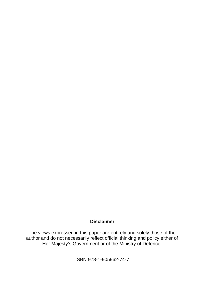# **Disclaimer**

The views expressed in this paper are entirely and solely those of the author and do not necessarily reflect official thinking and policy either of Her Majesty's Government or of the Ministry of Defence.

ISBN 978-1-905962-74-7